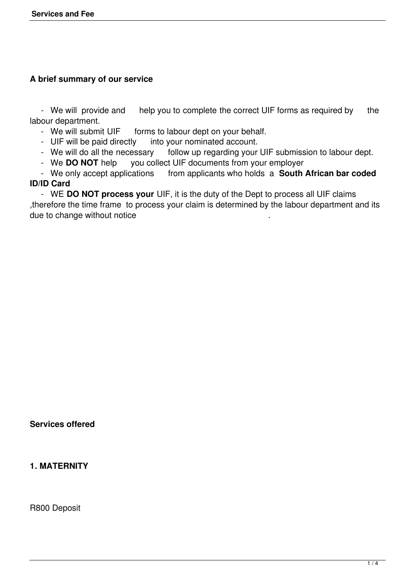## **A brief summary of our service**

- We will provide and help you to complete the correct UIF forms as required by the labour department.<br>- We will submit UIF

- We will submit UIF forms to labour dept on your behalf.<br>- UIF will be paid directly into your nominated account.
- UIF will be paid directly into your nominated account.<br>- We will do all the necessary follow up regarding your
- follow up regarding your UIF submission to labour dept.
- We **DO NOT** help you collect UIF documents from your employer<br>- We only accept applications from applicants who holds a **South**.

from applicants who holds a **South African bar coded ID/ID Card**

 - WE **DO NOT process your** UIF, it is the duty of the Dept to process all UIF claims ,therefore the time frame to process your claim is determined by the labour department and its due to change without notice

### **Services offered**

### **1. MATERNITY**

R800 Deposit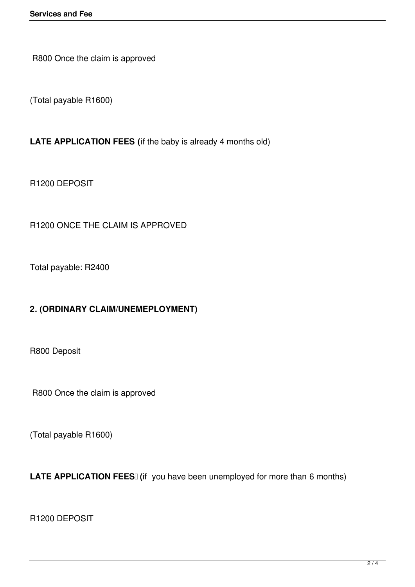R800 Once the claim is approved

(Total payable R1600)

## **LATE APPLICATION FEES (**if the baby is already 4 months old)

R1200 DEPOSIT

R1200 ONCE THE CLAIM IS APPROVED

Total payable: R2400

# **2. (ORDINARY CLAIM/UNEMEPLOYMENT)**

R800 Deposit

R800 Once the claim is approved

(Total payable R1600)

LATE APPLICATION FEES<sup>[]</sup> (if you have been unemployed for more than 6 months)

R1200 DEPOSIT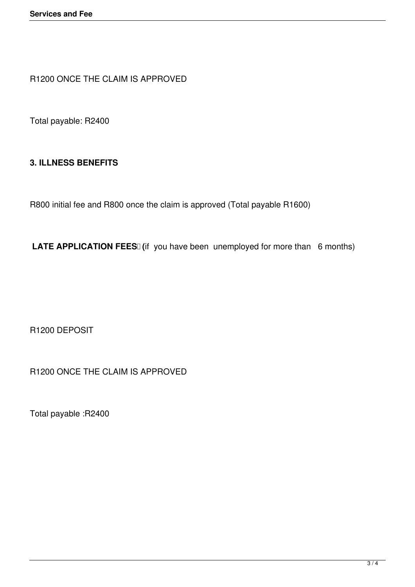R1200 ONCE THE CLAIM IS APPROVED

Total payable: R2400

### **3. ILLNESS BENEFITS**

R800 initial fee and R800 once the claim is approved (Total payable R1600)

LATE APPLICATION FEES<sup>[]</sup> (if you have been unemployed for more than 6 months)

R1200 DEPOSIT

R1200 ONCE THE CLAIM IS APPROVED

Total payable :R2400